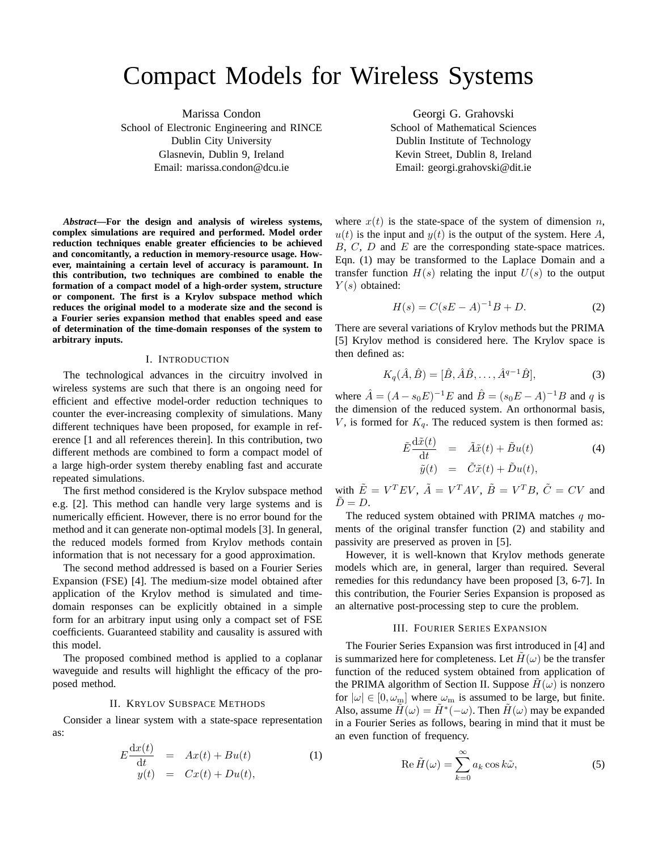# Compact Models for Wireless Systems

Marissa Condon School of Electronic Engineering and RINCE Dublin City University Glasnevin, Dublin 9, Ireland Email: marissa.condon@dcu.ie

*Abstract***—For the design and analysis of wireless systems, complex simulations are required and performed. Model order reduction techniques enable greater efficiencies to be achieved and concomitantly, a reduction in memory-resource usage. However, maintaining a certain level of accuracy is paramount. In this contribution, two techniques are combined to enable the formation of a compact model of a high-order system, structure or component. The first is a Krylov subspace method which reduces the original model to a moderate size and the second is a Fourier series expansion method that enables speed and ease of determination of the time-domain responses of the system to arbitrary inputs.**

## I. INTRODUCTION

The technological advances in the circuitry involved in wireless systems are such that there is an ongoing need for efficient and effective model-order reduction techniques to counter the ever-increasing complexity of simulations. Many different techniques have been proposed, for example in reference [1 and all references therein]. In this contribution, two different methods are combined to form a compact model of a large high-order system thereby enabling fast and accurate repeated simulations.

The first method considered is the Krylov subspace method e.g. [2]. This method can handle very large systems and is numerically efficient. However, there is no error bound for the method and it can generate non-optimal models [3]. In general, the reduced models formed from Krylov methods contain information that is not necessary for a good approximation.

The second method addressed is based on a Fourier Series Expansion (FSE) [4]. The medium-size model obtained after application of the Krylov method is simulated and timedomain responses can be explicitly obtained in a simple form for an arbitrary input using only a compact set of FSE coefficients. Guaranteed stability and causality is assured with this model.

The proposed combined method is applied to a coplanar waveguide and results will highlight the efficacy of the proposed method.

# II. KRYLOV SUBSPACE METHODS

Consider a linear system with a state-space representation as:

$$
E\frac{\mathrm{d}x(t)}{\mathrm{d}t} = Ax(t) + Bu(t)
$$
  
\n
$$
y(t) = Cx(t) + Du(t),
$$
\n(1)

Georgi G. Grahovski School of Mathematical Sciences Dublin Institute of Technology Kevin Street, Dublin 8, Ireland Email: georgi.grahovski@dit.ie

where  $x(t)$  is the state-space of the system of dimension n,  $u(t)$  is the input and  $y(t)$  is the output of the system. Here A,  $B, C, D$  and  $E$  are the corresponding state-space matrices. Eqn. (1) may be transformed to the Laplace Domain and a transfer function  $H(s)$  relating the input  $U(s)$  to the output  $Y(s)$  obtained:

$$
H(s) = C(sE - A)^{-1}B + D.
$$
 (2)

There are several variations of Krylov methods but the PRIMA [5] Krylov method is considered here. The Krylov space is then defined as:

$$
K_q(\hat{A}, \hat{B}) = [\hat{B}, \hat{A}\hat{B}, \dots, \hat{A}^{q-1}\hat{B}],
$$
 (3)

where  $\hat{A} = (A - s_0 E)^{-1} E$  and  $\hat{B} = (s_0 E - A)^{-1} B$  and q is the dimension of the reduced system. An orthonormal basis, V, is formed for  $K_q$ . The reduced system is then formed as:

$$
\tilde{E}\frac{\mathrm{d}\tilde{x}(t)}{\mathrm{d}t} = \tilde{A}\tilde{x}(t) + \tilde{B}u(t) \tag{4}
$$
\n
$$
\tilde{y}(t) = \tilde{C}\tilde{x}(t) + \tilde{D}u(t),
$$

with  $\tilde{E} = V^T E V$ ,  $\tilde{A} = V^T A V$ ,  $\tilde{B} = V^T B$ ,  $\tilde{C} = CV$  and  $\ddot{D}=D.$ 

The reduced system obtained with PRIMA matches  $q$  moments of the original transfer function (2) and stability and passivity are preserved as proven in [5].

However, it is well-known that Krylov methods generate models which are, in general, larger than required. Several remedies for this redundancy have been proposed [3, 6-7]. In this contribution, the Fourier Series Expansion is proposed as an alternative post-processing step to cure the problem.

## III. FOURIER SERIES EXPANSION

The Fourier Series Expansion was first introduced in [4] and is summarized here for completeness. Let  $H(\omega)$  be the transfer function of the reduced system obtained from application of the PRIMA algorithm of Section II. Suppose  $H(\omega)$  is nonzero for  $|\omega| \in [0, \omega_m]$  where  $\omega_m$  is assumed to be large, but finite. Also, assume  $\tilde{H}(\omega) = \tilde{H}^*(-\omega)$ . Then  $\tilde{H}(\omega)$  may be expanded in a Fourier Series as follows, bearing in mind that it must be an even function of frequency.

$$
\operatorname{Re}\tilde{H}(\omega) = \sum_{k=0}^{\infty} a_k \cos k\tilde{\omega},\tag{5}
$$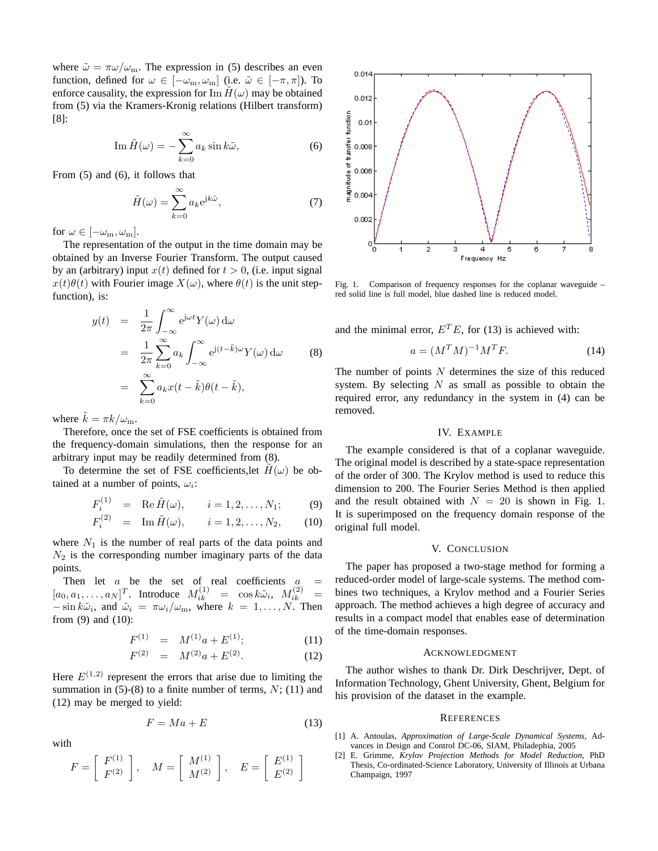where  $\tilde{\omega} = \pi \omega / \omega_{\text{m}}$ . The expression in (5) describes an even function, defined for  $\omega \in [-\omega_m, \omega_m]$  (i.e.  $\tilde{\omega} \in [-\pi, \pi]$ ). To enforce causality, the expression for Im  $H(\omega)$  may be obtained from (5) via the Kramers-Kronig relations (Hilbert transform) [8]:

$$
\operatorname{Im} \tilde{H}(\omega) = -\sum_{k=0}^{\infty} a_k \sin k \tilde{\omega}, \tag{6}
$$

From (5) and (6), it follows that

$$
\tilde{H}(\omega) = \sum_{k=0}^{\infty} a_k e^{jk\tilde{\omega}},
$$
\n(7)

for  $\omega \in [-\omega_{\rm m}, \omega_{\rm m}]$ .

The representation of the output in the time domain may be obtained by an Inverse Fourier Transform. The output caused by an (arbitrary) input  $x(t)$  defined for  $t > 0$ , (i.e. input signal  $x(t)\theta(t)$  with Fourier image  $X(\omega)$ , where  $\theta(t)$  is the unit stepfunction), is:

$$
y(t) = \frac{1}{2\pi} \int_{-\infty}^{\infty} e^{j\omega t} Y(\omega) d\omega
$$
  

$$
= \frac{1}{2\pi} \sum_{k=0}^{\infty} a_k \int_{-\infty}^{\infty} e^{j(t-\tilde{k})\omega} Y(\omega) d\omega
$$
(8)  

$$
= \sum_{k=0}^{\infty} a_k x(t-\tilde{k}) \theta(t-\tilde{k}),
$$

where  $\tilde{k} = \pi k / \omega_{\text{m}}$ .

Therefore, once the set of FSE coefficients is obtained from the frequency-domain simulations, then the response for an arbitrary input may be readily determined from (8).

To determine the set of FSE coefficients, let  $H(\omega)$  be obtained at a number of points,  $\omega_i$ :

$$
F_i^{(1)} = \text{Re}\,\tilde{H}(\omega), \qquad i = 1, 2, \dots, N_1; \tag{9}
$$

$$
F_i^{(2)} = \text{Im}\,\tilde{H}(\omega), \qquad i = 1, 2, \dots, N_2, \qquad (10)
$$

where  $N_1$  is the number of real parts of the data points and  $N_2$  is the corresponding number imaginary parts of the data points.

Then let  $a$  be the set of real coefficients  $a =$  $[a_0, a_1, \ldots, a_N]^T$ . Introduce  $M_{ik}^{(1)} = \cos k \tilde{\omega}_i$ ,  $M_{ik}^{(2)} =$  $-\sin k\tilde{\omega}_i$ , and  $\tilde{\omega}_i = \pi \omega_i/\omega_m$ , where  $k = 1, \dots, N$ . Then from (9) and (10):

$$
F^{(1)} = M^{(1)}a + E^{(1)};
$$
\n(11)

$$
F^{(2)} = M^{(2)}a + E^{(2)}.
$$
 (12)

Here  $E^{(1,2)}$  represent the errors that arise due to limiting the summation in  $(5)-(8)$  to a finite number of terms,  $N$ ;  $(11)$  and (12) may be merged to yield:

$$
F = Ma + E \tag{13}
$$

with

$$
F = \left[ \begin{array}{c} F^{(1)} \\ F^{(2)} \end{array} \right], \quad M = \left[ \begin{array}{c} M^{(1)} \\ M^{(2)} \end{array} \right], \quad E = \left[ \begin{array}{c} E^{(1)} \\ E^{(2)} \end{array} \right]
$$



Fig. 1. Comparison of frequency responses for the coplanar waveguide – red solid line is full model, blue dashed line is reduced model.

and the minimal error,  $E^T E$ , for (13) is achieved with:

$$
a = (M^T M)^{-1} M^T F.
$$
\n<sup>(14)</sup>

The number of points  $N$  determines the size of this reduced system. By selecting  $N$  as small as possible to obtain the required error, any redundancy in the system in (4) can be removed.

## IV. EXAMPLE

The example considered is that of a coplanar waveguide. The original model is described by a state-space representation of the order of 300. The Krylov method is used to reduce this dimension to 200. The Fourier Series Method is then applied and the result obtained with  $N = 20$  is shown in Fig. 1. It is superimposed on the frequency domain response of the original full model.

#### V. CONCLUSION

The paper has proposed a two-stage method for forming a reduced-order model of large-scale systems. The method combines two techniques, a Krylov method and a Fourier Series approach. The method achieves a high degree of accuracy and results in a compact model that enables ease of determination of the time-domain responses.

### ACKNOWLEDGMENT

The author wishes to thank Dr. Dirk Deschrijver, Dept. of Information Technology, Ghent University, Ghent, Belgium for his provision of the dataset in the example.

#### **REFERENCES**

- [1] A. Antoulas, *Approximation of Large-Scale Dynamical Systems*, Advances in Design and Control DC-06, SIAM, Philadephia, 2005
- [2] E. Grimme, *Krylov Projection Methods for Model Reduction*, PhD Thesis, Co-ordinated-Science Laboratory, University of Illinois at Urbana Champaign, 1997